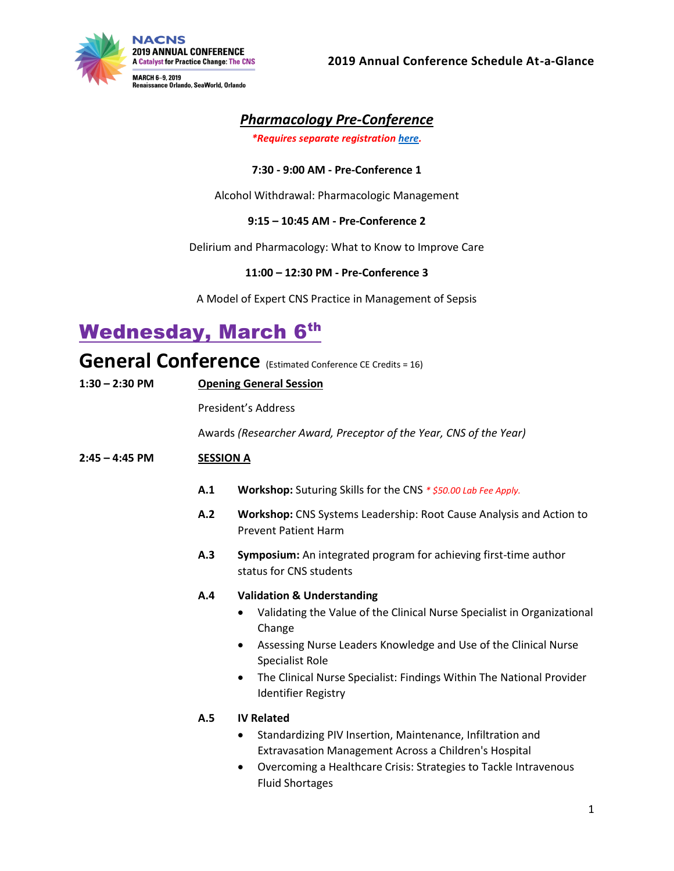

# *Pharmacology Pre-Conference*

*\*Requires separate registration [here.](https://portal.nacns.org/NACNS/Events/Event_Display.aspx?EventKey=AM2019)*

### **7:30 - 9:00 AM - Pre-Conference 1**

Alcohol Withdrawal: Pharmacologic Management

### **9:15 – 10:45 AM - Pre-Conference 2**

Delirium and Pharmacology: What to Know to Improve Care

### **11:00 – 12:30 PM - Pre-Conference 3**

A Model of Expert CNS Practice in Management of Sepsis

# **Wednesday, March 6th**

**General Conference** (Estimated Conference CE Credits = 16)

| $1:30 - 2:30$ PM | <b>Opening General Session</b> |                                                                                                                                                                                                                                                                                                                                                               |  |  |  |
|------------------|--------------------------------|---------------------------------------------------------------------------------------------------------------------------------------------------------------------------------------------------------------------------------------------------------------------------------------------------------------------------------------------------------------|--|--|--|
|                  | <b>President's Address</b>     |                                                                                                                                                                                                                                                                                                                                                               |  |  |  |
|                  |                                | Awards (Researcher Award, Preceptor of the Year, CNS of the Year)                                                                                                                                                                                                                                                                                             |  |  |  |
| $2:45 - 4:45$ PM | <b>SESSION A</b>               |                                                                                                                                                                                                                                                                                                                                                               |  |  |  |
|                  | A.1                            | <b>Workshop:</b> Suturing Skills for the CNS * \$50.00 Lab Fee Apply.                                                                                                                                                                                                                                                                                         |  |  |  |
|                  | A.2                            | Workshop: CNS Systems Leadership: Root Cause Analysis and Action to<br><b>Prevent Patient Harm</b>                                                                                                                                                                                                                                                            |  |  |  |
|                  | A.3                            | Symposium: An integrated program for achieving first-time author<br>status for CNS students                                                                                                                                                                                                                                                                   |  |  |  |
|                  | A.4                            | <b>Validation &amp; Understanding</b><br>Validating the Value of the Clinical Nurse Specialist in Organizational<br>$\bullet$<br>Change<br>Assessing Nurse Leaders Knowledge and Use of the Clinical Nurse<br>$\bullet$<br>Specialist Role<br>The Clinical Nurse Specialist: Findings Within The National Provider<br>$\bullet$<br><b>Identifier Registry</b> |  |  |  |
|                  | A.5                            | <b>IV Related</b><br>Standardizing PIV Insertion, Maintenance, Infiltration and<br>$\bullet$<br>Extravasation Management Across a Children's Hospital<br>Overcoming a Healthcare Crisis: Strategies to Tackle Intravenous<br>$\bullet$<br><b>Fluid Shortages</b>                                                                                              |  |  |  |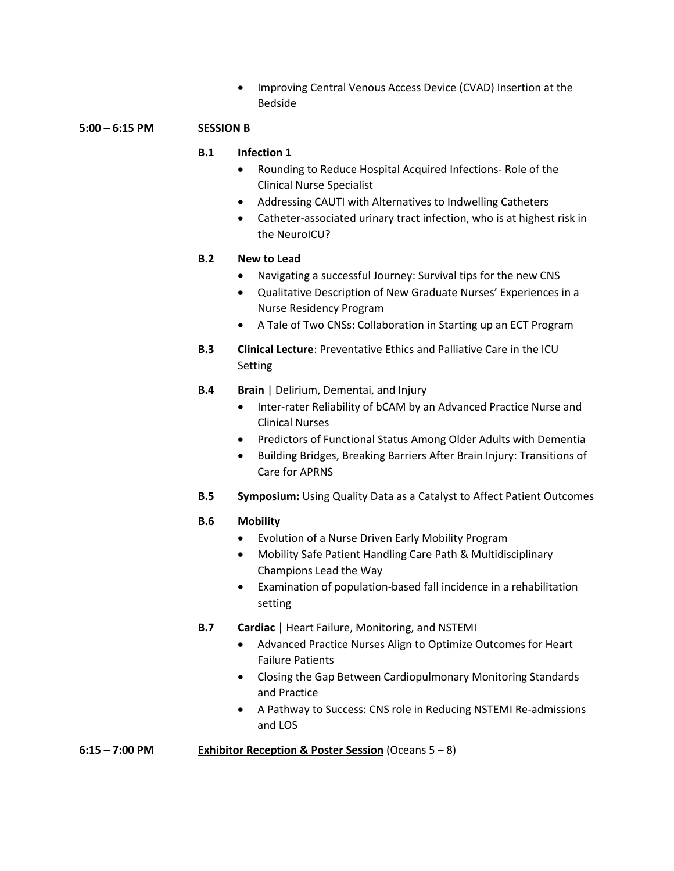• Improving Central Venous Access Device (CVAD) Insertion at the Bedside

### **5:00 – 6:15 PM SESSION B**

### **B.1 Infection 1**

- Rounding to Reduce Hospital Acquired Infections- Role of the Clinical Nurse Specialist
- Addressing CAUTI with Alternatives to Indwelling Catheters
- Catheter-associated urinary tract infection, who is at highest risk in the NeuroICU?

### **B.2 New to Lead**

- Navigating a successful Journey: Survival tips for the new CNS
- Qualitative Description of New Graduate Nurses' Experiences in a Nurse Residency Program
- A Tale of Two CNSs: Collaboration in Starting up an ECT Program
- **B.3 Clinical Lecture**: Preventative Ethics and Palliative Care in the ICU Setting
- **B.4 Brain** | Delirium, Dementai, and Injury
	- Inter-rater Reliability of bCAM by an Advanced Practice Nurse and Clinical Nurses
	- Predictors of Functional Status Among Older Adults with Dementia
	- Building Bridges, Breaking Barriers After Brain Injury: Transitions of Care for APRNS
- **B.5 Symposium:** Using Quality Data as a Catalyst to Affect Patient Outcomes

### **B.6 Mobility**

- Evolution of a Nurse Driven Early Mobility Program
- Mobility Safe Patient Handling Care Path & Multidisciplinary Champions Lead the Way
- Examination of population-based fall incidence in a rehabilitation setting
- **B.7 Cardiac** | Heart Failure, Monitoring, and NSTEMI
	- Advanced Practice Nurses Align to Optimize Outcomes for Heart Failure Patients
	- Closing the Gap Between Cardiopulmonary Monitoring Standards and Practice
	- A Pathway to Success: CNS role in Reducing NSTEMI Re-admissions and LOS

**6:15 – 7:00 PM Exhibitor Reception & Poster Session** (Oceans 5 – 8)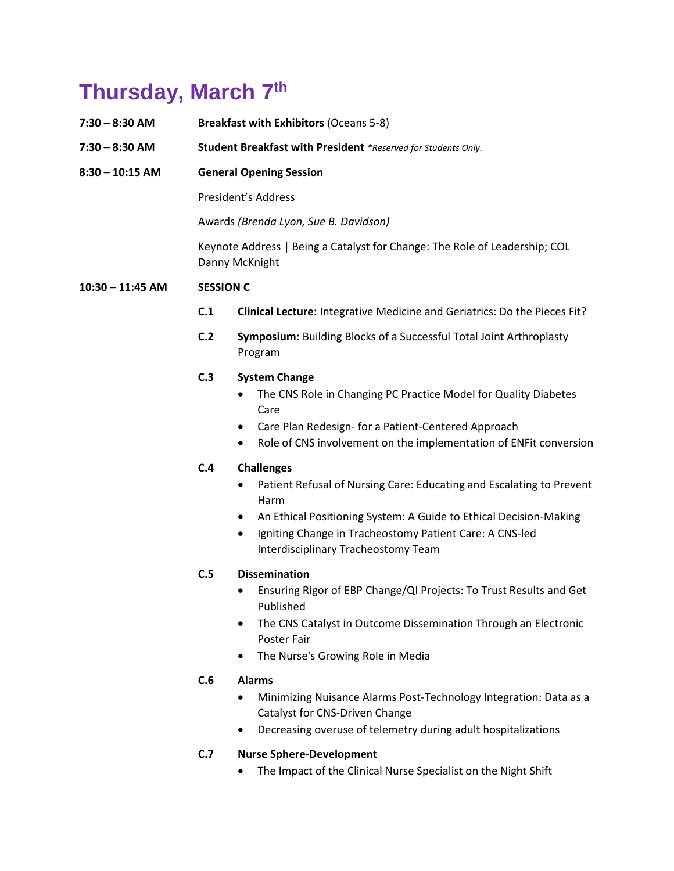# **Thursday, March 7 th**

| $7:30 - 8:30$ AM   |                                                                                              | <b>Breakfast with Exhibitors (Oceans 5-8)</b>                                                                                                                                                                                                                                              |  |  |  |
|--------------------|----------------------------------------------------------------------------------------------|--------------------------------------------------------------------------------------------------------------------------------------------------------------------------------------------------------------------------------------------------------------------------------------------|--|--|--|
| $7:30 - 8:30$ AM   |                                                                                              | Student Breakfast with President *Reserved for Students Only.                                                                                                                                                                                                                              |  |  |  |
| $8:30 - 10:15$ AM  |                                                                                              | <b>General Opening Session</b>                                                                                                                                                                                                                                                             |  |  |  |
|                    |                                                                                              | President's Address                                                                                                                                                                                                                                                                        |  |  |  |
|                    |                                                                                              | Awards (Brenda Lyon, Sue B. Davidson)                                                                                                                                                                                                                                                      |  |  |  |
|                    | Keynote Address   Being a Catalyst for Change: The Role of Leadership; COL<br>Danny McKnight |                                                                                                                                                                                                                                                                                            |  |  |  |
| $10:30 - 11:45$ AM | <b>SESSION C</b>                                                                             |                                                                                                                                                                                                                                                                                            |  |  |  |
|                    | C.1                                                                                          | Clinical Lecture: Integrative Medicine and Geriatrics: Do the Pieces Fit?                                                                                                                                                                                                                  |  |  |  |
|                    | C.2                                                                                          | <b>Symposium: Building Blocks of a Successful Total Joint Arthroplasty</b><br>Program                                                                                                                                                                                                      |  |  |  |
|                    | C.3                                                                                          | <b>System Change</b><br>The CNS Role in Changing PC Practice Model for Quality Diabetes<br>Care<br>Care Plan Redesign- for a Patient-Centered Approach<br>$\bullet$<br>Role of CNS involvement on the implementation of ENFit conversion                                                   |  |  |  |
|                    | C.4                                                                                          | <b>Challenges</b><br>Patient Refusal of Nursing Care: Educating and Escalating to Prevent<br>Harm<br>An Ethical Positioning System: A Guide to Ethical Decision-Making<br>٠<br>Igniting Change in Tracheostomy Patient Care: A CNS-led<br>$\bullet$<br>Interdisciplinary Tracheostomy Team |  |  |  |
|                    | C.5                                                                                          | <b>Dissemination</b><br>Ensuring Rigor of EBP Change/QI Projects: To Trust Results and Get<br>Published<br>The CNS Catalyst in Outcome Dissemination Through an Electronic<br><b>Poster Fair</b><br>The Nurse's Growing Role in Media                                                      |  |  |  |
|                    | C.6                                                                                          | <b>Alarms</b><br>Minimizing Nuisance Alarms Post-Technology Integration: Data as a<br>Catalyst for CNS-Driven Change                                                                                                                                                                       |  |  |  |

• Decreasing overuse of telemetry during adult hospitalizations

# **C.7 Nurse Sphere-Development**

• The Impact of the Clinical Nurse Specialist on the Night Shift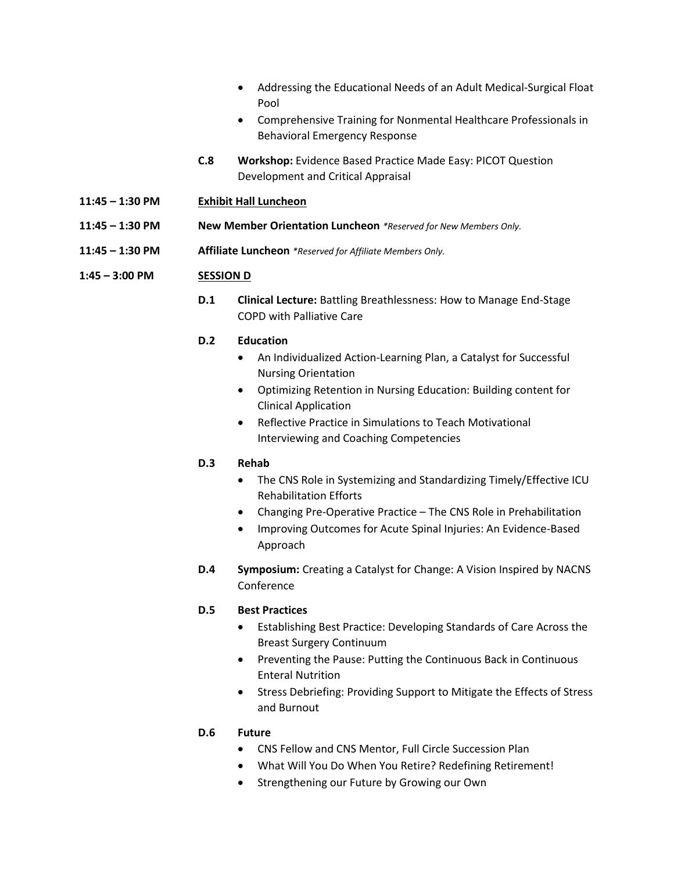- Addressing the Educational Needs of an Adult Medical-Surgical Float Pool
- Comprehensive Training for Nonmental Healthcare Professionals in Behavioral Emergency Response
- **C.8 Workshop:** Evidence Based Practice Made Easy: PICOT Question Development and Critical Appraisal
- **11:45 – 1:30 PM Exhibit Hall Luncheon**
- **11:45 – 1:30 PM New Member Orientation Luncheon** *\*Reserved for New Members Only.*
- **11:45 – 1:30 PM Affiliate Luncheon** *\*Reserved for Affiliate Members Only.*

#### **1:45 – 3:00 PM SESSION D**

**D.1 Clinical Lecture:** Battling Breathlessness: How to Manage End-Stage COPD with Palliative Care

#### **D.2 Education**

- An Individualized Action-Learning Plan, a Catalyst for Successful Nursing Orientation
- Optimizing Retention in Nursing Education: Building content for Clinical Application
- Reflective Practice in Simulations to Teach Motivational Interviewing and Coaching Competencies

#### **D.3 Rehab**

- The CNS Role in Systemizing and Standardizing Timely/Effective ICU Rehabilitation Efforts
- Changing Pre-Operative Practice The CNS Role in Prehabilitation
- Improving Outcomes for Acute Spinal Injuries: An Evidence-Based Approach
- **D.4 Symposium:** Creating a Catalyst for Change: A Vision Inspired by NACNS Conference

### **D.5 Best Practices**

- Establishing Best Practice: Developing Standards of Care Across the Breast Surgery Continuum
- Preventing the Pause: Putting the Continuous Back in Continuous Enteral Nutrition
- Stress Debriefing: Providing Support to Mitigate the Effects of Stress and Burnout

### **D.6 Future**

- CNS Fellow and CNS Mentor, Full Circle Succession Plan
- What Will You Do When You Retire? Redefining Retirement!
- Strengthening our Future by Growing our Own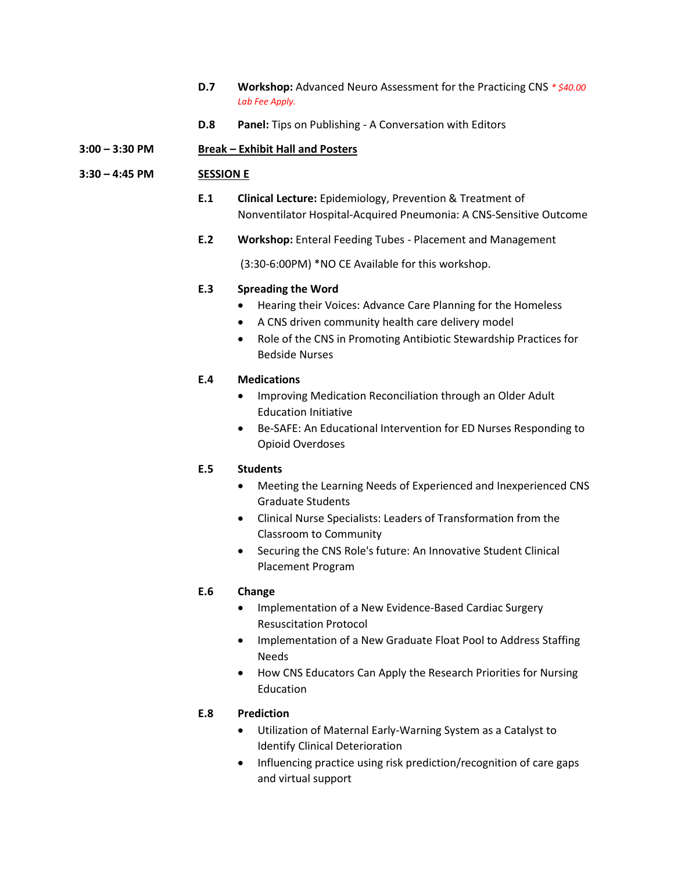- **D.7 Workshop:** Advanced Neuro Assessment for the Practicing CNS *\* \$40.00 Lab Fee Apply.*
- **D.8 Panel:** Tips on Publishing A Conversation with Editors

### **3:00 – 3:30 PM Break – Exhibit Hall and Posters**

### **3:30 – 4:45 PM SESSION E**

- **E.1 Clinical Lecture:** Epidemiology, Prevention & Treatment of Nonventilator Hospital-Acquired Pneumonia: A CNS-Sensitive Outcome
- **E.2 Workshop:** Enteral Feeding Tubes Placement and Management

(3:30-6:00PM) \*NO CE Available for this workshop.

### **E.3 Spreading the Word**

- Hearing their Voices: Advance Care Planning for the Homeless
- A CNS driven community health care delivery model
- Role of the CNS in Promoting Antibiotic Stewardship Practices for Bedside Nurses

### **E.4 Medications**

- Improving Medication Reconciliation through an Older Adult Education Initiative
- Be-SAFE: An Educational Intervention for ED Nurses Responding to Opioid Overdoses

### **E.5 Students**

- Meeting the Learning Needs of Experienced and Inexperienced CNS Graduate Students
- Clinical Nurse Specialists: Leaders of Transformation from the Classroom to Community
- Securing the CNS Role's future: An Innovative Student Clinical Placement Program

### **E.6 Change**

- Implementation of a New Evidence-Based Cardiac Surgery Resuscitation Protocol
- Implementation of a New Graduate Float Pool to Address Staffing Needs
- How CNS Educators Can Apply the Research Priorities for Nursing Education

# **E.8 Prediction**

- Utilization of Maternal Early-Warning System as a Catalyst to Identify Clinical Deterioration
- Influencing practice using risk prediction/recognition of care gaps and virtual support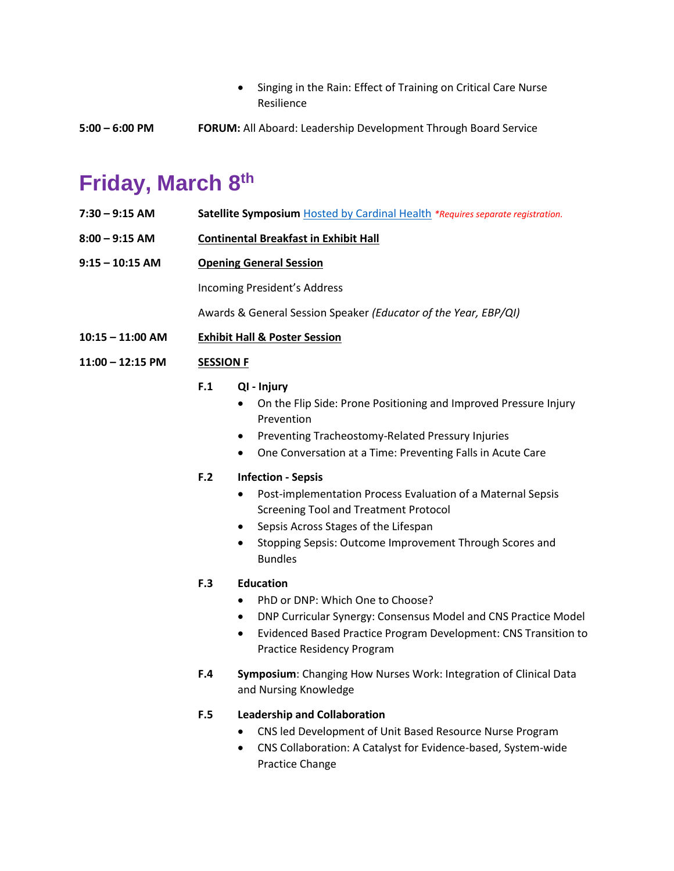- Singing in the Rain: Effect of Training on Critical Care Nurse Resilience
- **5:00 – 6:00 PM FORUM:** All Aboard: Leadership Development Through Board Service

# **Friday, March 8 th**

- **7:30 – 9:15 AM Satellite Symposium** [Hosted by Cardinal Health](https://cardinalhealth.cvent.com/d/cbqbz6/) *\*Requires separate registration.*
- **8:00 – 9:15 AM Continental Breakfast in Exhibit Hall**
- **9:15 – 10:15 AM Opening General Session**

Incoming President's Address

Awards & General Session Speaker *(Educator of the Year, EBP/QI)*

- **10:15 – 11:00 AM Exhibit Hall & Poster Session**
- **11:00 – 12:15 PM SESSION F**

### **F.1 QI - Injury**

- On the Flip Side: Prone Positioning and Improved Pressure Injury Prevention
- Preventing Tracheostomy-Related Pressury Injuries
- One Conversation at a Time: Preventing Falls in Acute Care

### **F.2 Infection - Sepsis**

- Post-implementation Process Evaluation of a Maternal Sepsis Screening Tool and Treatment Protocol
- Sepsis Across Stages of the Lifespan
- Stopping Sepsis: Outcome Improvement Through Scores and **Bundles**

# **F.3 Education**

- PhD or DNP: Which One to Choose?
- DNP Curricular Synergy: Consensus Model and CNS Practice Model
- Evidenced Based Practice Program Development: CNS Transition to Practice Residency Program
- **F.4 Symposium**: Changing How Nurses Work: Integration of Clinical Data and Nursing Knowledge

# **F.5 Leadership and Collaboration**

- CNS led Development of Unit Based Resource Nurse Program
- CNS Collaboration: A Catalyst for Evidence-based, System-wide Practice Change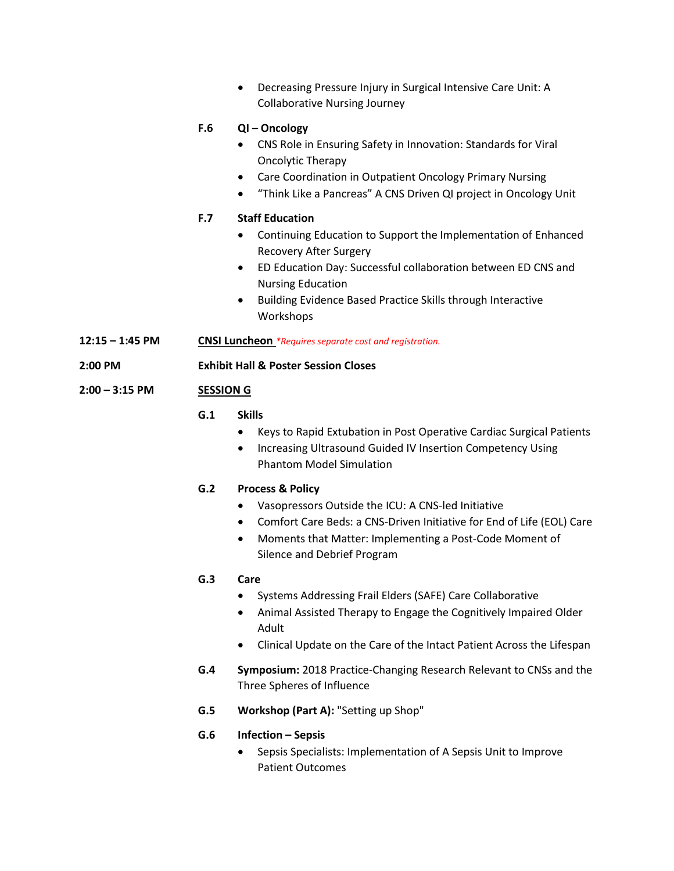• Decreasing Pressure Injury in Surgical Intensive Care Unit: A Collaborative Nursing Journey **F.6 QI – Oncology** • CNS Role in Ensuring Safety in Innovation: Standards for Viral Oncolytic Therapy • Care Coordination in Outpatient Oncology Primary Nursing • "Think Like a Pancreas" A CNS Driven QI project in Oncology Unit **F.7 Staff Education** • Continuing Education to Support the Implementation of Enhanced Recovery After Surgery • ED Education Day: Successful collaboration between ED CNS and Nursing Education • Building Evidence Based Practice Skills through Interactive Workshops **12:15 – 1:45 PM CNSI Luncheon** *\*Requires separate cost and registration.* **2:00 PM Exhibit Hall & Poster Session Closes 2:00 – 3:15 PM SESSION G G.1 Skills** • Keys to Rapid Extubation in Post Operative Cardiac Surgical Patients • Increasing Ultrasound Guided IV Insertion Competency Using Phantom Model Simulation

# **G.2 Process & Policy**

- Vasopressors Outside the ICU: A CNS-led Initiative
- Comfort Care Beds: a CNS-Driven Initiative for End of Life (EOL) Care
- Moments that Matter: Implementing a Post-Code Moment of Silence and Debrief Program

# **G.3 Care**

- Systems Addressing Frail Elders (SAFE) Care Collaborative
- Animal Assisted Therapy to Engage the Cognitively Impaired Older Adult
- Clinical Update on the Care of the Intact Patient Across the Lifespan
- **G.4 Symposium:** 2018 Practice-Changing Research Relevant to CNSs and the Three Spheres of Influence
- **G.5 Workshop (Part A):** "Setting up Shop"
- **G.6 Infection – Sepsis**
	- Sepsis Specialists: Implementation of A Sepsis Unit to Improve Patient Outcomes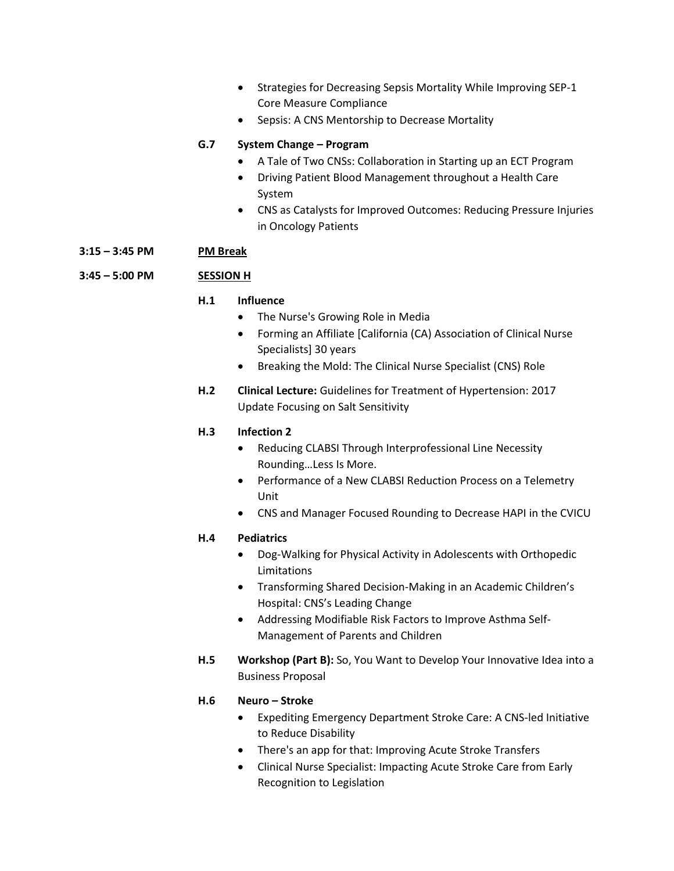- Strategies for Decreasing Sepsis Mortality While Improving SEP-1 Core Measure Compliance
- Sepsis: A CNS Mentorship to Decrease Mortality

### **G.7 System Change – Program**

- A Tale of Two CNSs: Collaboration in Starting up an ECT Program
- Driving Patient Blood Management throughout a Health Care System
- CNS as Catalysts for Improved Outcomes: Reducing Pressure Injuries in Oncology Patients

### **3:15 – 3:45 PM PM Break**

### **3:45 – 5:00 PM SESSION H**

### **H.1 Influence**

- The Nurse's Growing Role in Media
- Forming an Affiliate [California (CA) Association of Clinical Nurse Specialists] 30 years
- Breaking the Mold: The Clinical Nurse Specialist (CNS) Role
- **H.2 Clinical Lecture:** Guidelines for Treatment of Hypertension: 2017 Update Focusing on Salt Sensitivity

### **H.3 Infection 2**

- Reducing CLABSI Through Interprofessional Line Necessity Rounding…Less Is More.
- Performance of a New CLABSI Reduction Process on a Telemetry Unit
- CNS and Manager Focused Rounding to Decrease HAPI in the CVICU

### **H.4 Pediatrics**

- Dog-Walking for Physical Activity in Adolescents with Orthopedic Limitations
- Transforming Shared Decision-Making in an Academic Children's Hospital: CNS's Leading Change
- Addressing Modifiable Risk Factors to Improve Asthma Self-Management of Parents and Children
- **H.5 Workshop (Part B):** So, You Want to Develop Your Innovative Idea into a Business Proposal

### **H.6 Neuro – Stroke**

- Expediting Emergency Department Stroke Care: A CNS-led Initiative to Reduce Disability
- There's an app for that: Improving Acute Stroke Transfers
- Clinical Nurse Specialist: Impacting Acute Stroke Care from Early Recognition to Legislation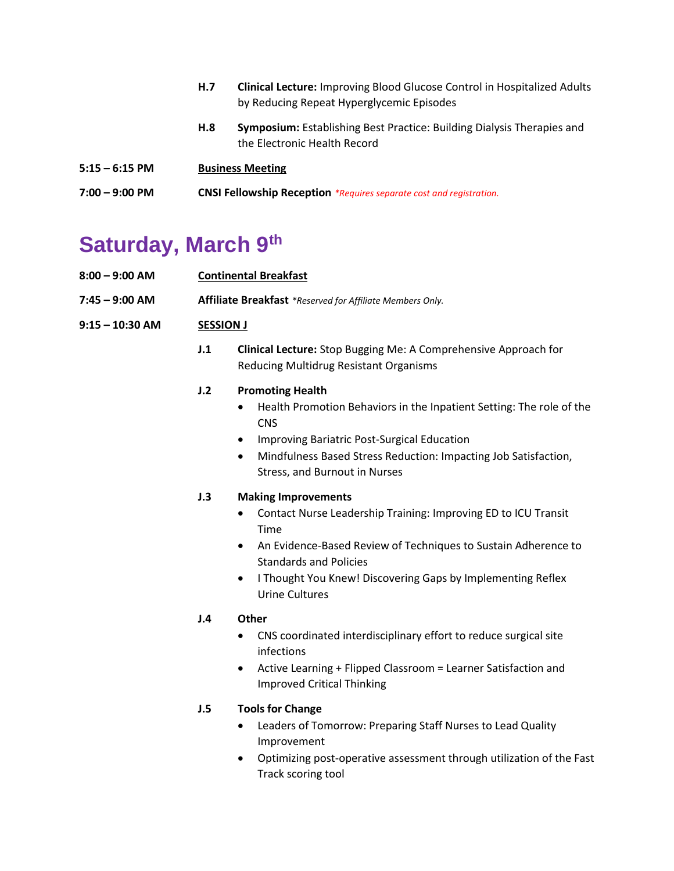|                  | H.7                                                                        | <b>Clinical Lecture:</b> Improving Blood Glucose Control in Hospitalized Adults<br>by Reducing Repeat Hyperglycemic Episodes |
|------------------|----------------------------------------------------------------------------|------------------------------------------------------------------------------------------------------------------------------|
|                  | H.S                                                                        | <b>Symposium:</b> Establishing Best Practice: Building Dialysis Therapies and<br>the Electronic Health Record                |
| $5:15 - 6:15$ PM | <b>Business Meeting</b>                                                    |                                                                                                                              |
| $7:00 - 9:00$ PM | <b>CNSI Fellowship Reception</b> *Requires separate cost and registration. |                                                                                                                              |

# **Saturday, March 9 th**

| 8:00 - 9:00 AM  | <b>Continental Breakfast</b>                              |                                                                                                                                                                                                                                                                                                         |  |
|-----------------|-----------------------------------------------------------|---------------------------------------------------------------------------------------------------------------------------------------------------------------------------------------------------------------------------------------------------------------------------------------------------------|--|
| 7:45 – 9:00 AM  | Affiliate Breakfast *Reserved for Affiliate Members Only. |                                                                                                                                                                                                                                                                                                         |  |
| 9:15 – 10:30 AM | <b>SESSION J</b>                                          |                                                                                                                                                                                                                                                                                                         |  |
|                 | J.1                                                       | <b>Clinical Lecture:</b> Stop Bugging Me: A Comprehensive Approach for<br><b>Reducing Multidrug Resistant Organisms</b>                                                                                                                                                                                 |  |
|                 | J.2                                                       | <b>Promoting Health</b><br>Health Promotion Behaviors in the Inpatient Setting: The role of the<br>$\bullet$<br><b>CNS</b><br>Improving Bariatric Post-Surgical Education<br>$\bullet$<br>Mindfulness Based Stress Reduction: Impacting Job Satisfaction,<br>$\bullet$<br>Stress, and Burnout in Nurses |  |
|                 | J.3                                                       | <b>Making Improvements</b><br>Contact Nurse Leadership Training: Improving ED to ICU Transit<br>٠                                                                                                                                                                                                       |  |

- An Evidence-Based Review of Techniques to Sustain Adherence to Standards and Policies
- I Thought You Knew! Discovering Gaps by Implementing Reflex Urine Cultures

# **J.4 Other**

- CNS coordinated interdisciplinary effort to reduce surgical site infections
- Active Learning + Flipped Classroom = Learner Satisfaction and Improved Critical Thinking

# **J.5 Tools for Change**

Time

- Leaders of Tomorrow: Preparing Staff Nurses to Lead Quality Improvement
- Optimizing post-operative assessment through utilization of the Fast Track scoring tool